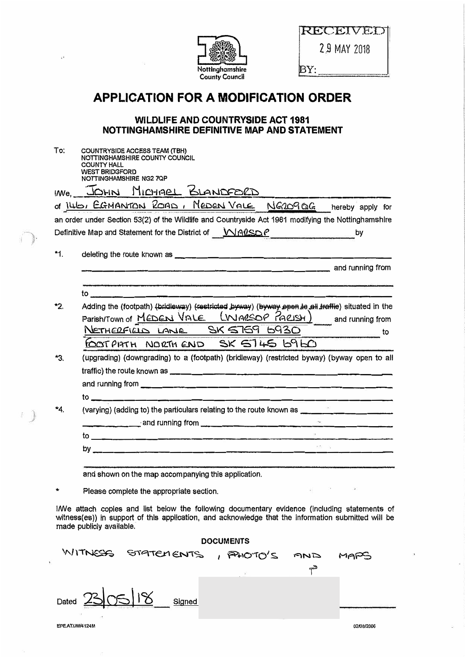| Nottinghamshire<br><b>County Council</b> |  |
|------------------------------------------|--|

 $\mathcal{I}_1$ 

 $\bar{\Omega}$ 

 $\mathbb{R}$ 

made publicly available.

RECEIVED 2.9 MAY 2018

BY:

## **APPLICATION FOR A MODIFICATION ORDER**

## **WILDLIFE AND COUNTRYSIDE ACT 1981** NOTTINGHAMSHIRE DEFINITIVE MAP AND STATEMENT

| To: | COUNTRYSIDE ACCESS TEAM (TBH)<br>NOTTINGHAMSHIRE COUNTY COUNCIL<br><b>COUNTY HALL</b><br><b>WEST BRIDGFORD</b>                                                                                      |
|-----|-----------------------------------------------------------------------------------------------------------------------------------------------------------------------------------------------------|
|     | NOTTINGHAMSHIRE NG27QP<br>INNE JOHN MICHAEL BLANDFORD                                                                                                                                               |
|     | of 140, EGMANTON ROAD, MEDEN VALE NG2090G hereby apply for                                                                                                                                          |
|     | an order under Section 53(2) of the Wildlife and Countryside Act 1981 modifying the Nottinghamshire                                                                                                 |
|     | Definitive Map and Statement for the District of <b>WALSOP</b>                                                                                                                                      |
| *1. |                                                                                                                                                                                                     |
|     |                                                                                                                                                                                                     |
|     | <u> 1980 - 1980 - 1980 - 1980 - 1980 - 1980 - 1980 - 1980 - 1980 - 1980 - 1980 - 1980 - 1980 - 1980 - 1980 - 1980 - 19</u>                                                                          |
|     |                                                                                                                                                                                                     |
| *2. | Adding the (footpath) (bridleway) (restricted by way) (by way open to all traffie) situated in the<br>Parish/Town of MEDEN VALE [WARSOP PARISH] and running from<br>NETHERFIELD LANE SK 5759 6930   |
|     | FOOTPHTH NORTH END SK ST45 6960                                                                                                                                                                     |
| *З. | (upgrading) (downgrading) to a (footpath) (bridleway) (restricted byway) (byway open to all                                                                                                         |
|     |                                                                                                                                                                                                     |
|     |                                                                                                                                                                                                     |
| *4. | (varying) (adding to) the particulars relating to the route known as ____                                                                                                                           |
|     | <u> 2</u>                                                                                                                                                                                           |
|     | $\overline{\phantom{a}}$ . The contract of $\overline{\phantom{a}}$                                                                                                                                 |
|     |                                                                                                                                                                                                     |
|     | and shown on the map accompanying this application.                                                                                                                                                 |
|     | $\mathbb{E} \mathfrak{g}^{\ast} = \mathbb{E} \mathfrak{g}^{\ast} = \mathbb{E} \mathfrak{g}^{\ast} = \mathbb{E} \mathfrak{g}^{\ast}$<br>Please complete the appropriate section.                     |
|     | IWe attach copies and list below the following documentary evidence (including statements of<br>witness(es)) in support of this application, and acknowledge that the information submitted will be |

| <b>DOCUMENTS</b>                       |                     |  |     |            |  |  |  |
|----------------------------------------|---------------------|--|-----|------------|--|--|--|
| WITNESS                                | STATEMENTS, PHOTO'S |  | GND | MARS       |  |  |  |
|                                        |                     |  | ఊ   |            |  |  |  |
| $\Omega$ $\sim$<br>Dated               | Signed              |  |     |            |  |  |  |
| ×<br>$\blacksquare$<br>EPE AT/JM/4124M |                     |  |     | 02/0B/2006 |  |  |  |